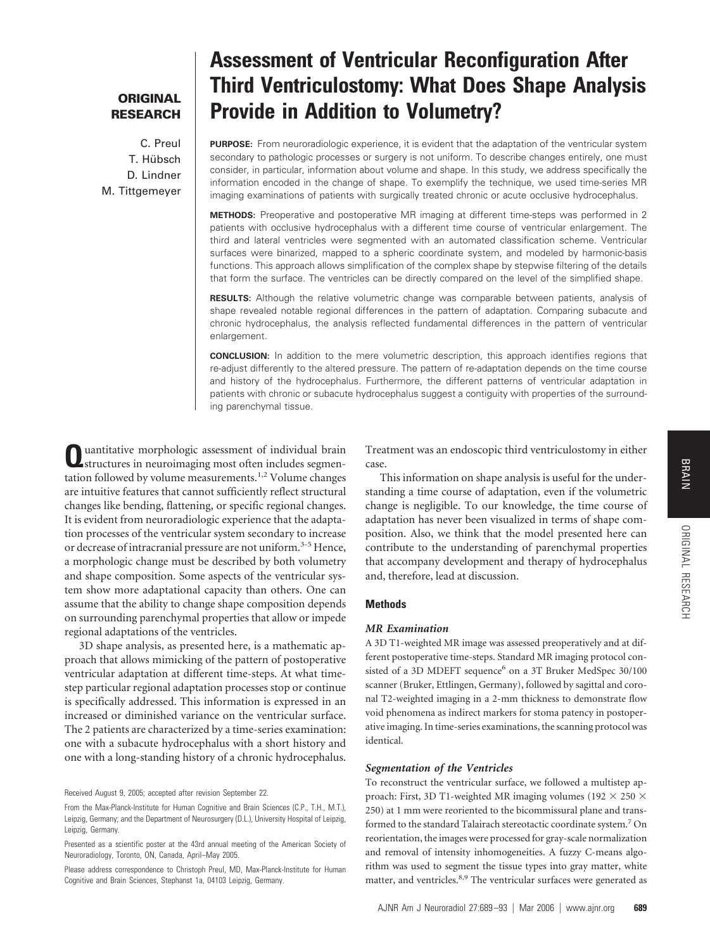## **ORIGINAL RESEARCH**

C. Preul T. Hübsch D. Lindner M. Tittgemeyer

# **Assessment of Ventricular Reconfiguration After Third Ventriculostomy: What Does Shape Analysis Provide in Addition to Volumetry?**

**PURPOSE:** From neuroradiologic experience, it is evident that the adaptation of the ventricular system secondary to pathologic processes or surgery is not uniform. To describe changes entirely, one must consider, in particular, information about volume and shape. In this study, we address specifically the information encoded in the change of shape. To exemplify the technique, we used time-series MR imaging examinations of patients with surgically treated chronic or acute occlusive hydrocephalus.

**METHODS:** Preoperative and postoperative MR imaging at different time-steps was performed in 2 patients with occlusive hydrocephalus with a different time course of ventricular enlargement. The third and lateral ventricles were segmented with an automated classification scheme. Ventricular surfaces were binarized, mapped to a spheric coordinate system, and modeled by harmonic-basis functions. This approach allows simplification of the complex shape by stepwise filtering of the details that form the surface. The ventricles can be directly compared on the level of the simplified shape.

**RESULTS:** Although the relative volumetric change was comparable between patients, analysis of shape revealed notable regional differences in the pattern of adaptation. Comparing subacute and chronic hydrocephalus, the analysis reflected fundamental differences in the pattern of ventricular enlargement.

**CONCLUSION:** In addition to the mere volumetric description, this approach identifies regions that re-adjust differently to the altered pressure. The pattern of re-adaptation depends on the time course and history of the hydrocephalus. Furthermore, the different patterns of ventricular adaptation in patients with chronic or subacute hydrocephalus suggest a contiguity with properties of the surrounding parenchymal tissue.

**Q**uantitative morphologic assessment of individual brain structures in neuroimaging most often includes segmentation followed by volume measurements.<sup>1,2</sup> Volume changes are intuitive features that cannot sufficiently reflect structural changes like bending, flattening, or specific regional changes. It is evident from neuroradiologic experience that the adaptation processes of the ventricular system secondary to increase or decrease of intracranial pressure are not uniform.<sup>3-5</sup> Hence, a morphologic change must be described by both volumetry and shape composition. Some aspects of the ventricular system show more adaptational capacity than others. One can assume that the ability to change shape composition depends on surrounding parenchymal properties that allow or impede regional adaptations of the ventricles.

3D shape analysis, as presented here, is a mathematic approach that allows mimicking of the pattern of postoperative ventricular adaptation at different time-steps. At what timestep particular regional adaptation processes stop or continue is specifically addressed. This information is expressed in an increased or diminished variance on the ventricular surface. The 2 patients are characterized by a time-series examination: one with a subacute hydrocephalus with a short history and one with a long-standing history of a chronic hydrocephalus.

Received August 9, 2005; accepted after revision September 22.

Treatment was an endoscopic third ventriculostomy in either case.

This information on shape analysis is useful for the understanding a time course of adaptation, even if the volumetric change is negligible. To our knowledge, the time course of adaptation has never been visualized in terms of shape composition. Also, we think that the model presented here can contribute to the understanding of parenchymal properties that accompany development and therapy of hydrocephalus and, therefore, lead at discussion.

## **Methods**

#### *MR Examination*

A 3D T1-weighted MR image was assessed preoperatively and at different postoperative time-steps. Standard MR imaging protocol consisted of a 3D MDEFT sequence<sup>6</sup> on a 3T Bruker MedSpec 30/100 scanner (Bruker, Ettlingen, Germany), followed by sagittal and coronal T2-weighted imaging in a 2-mm thickness to demonstrate flow void phenomena as indirect markers for stoma patency in postoperative imaging. In time-series examinations, the scanning protocol was identical.

### *Segmentation of the Ventricles*

To reconstruct the ventricular surface, we followed a multistep approach: First, 3D T1-weighted MR imaging volumes (192  $\times$  250  $\times$ 250) at 1 mm were reoriented to the bicommissural plane and transformed to the standard Talairach stereotactic coordinate system.7 On reorientation, the images were processed for gray-scale normalization and removal of intensity inhomogeneities. A fuzzy C-means algorithm was used to segment the tissue types into gray matter, white matter, and ventricles.<sup>8,9</sup> The ventricular surfaces were generated as

ORIGINALORIGINAL RESEARCH

RESEARCH

From the Max-Planck-Institute for Human Cognitive and Brain Sciences (C.P., T.H., M.T.), Leipzig, Germany; and the Department of Neurosurgery (D.L.), University Hospital of Leipzig, Leipzig, Germany.

Presented as a scientific poster at the 43rd annual meeting of the American Society of Neuroradiology, Toronto, ON, Canada, April–May 2005.

Please address correspondence to Christoph Preul, MD, Max-Planck-Institute for Human Cognitive and Brain Sciences, Stephanst 1a, 04103 Leipzig, Germany.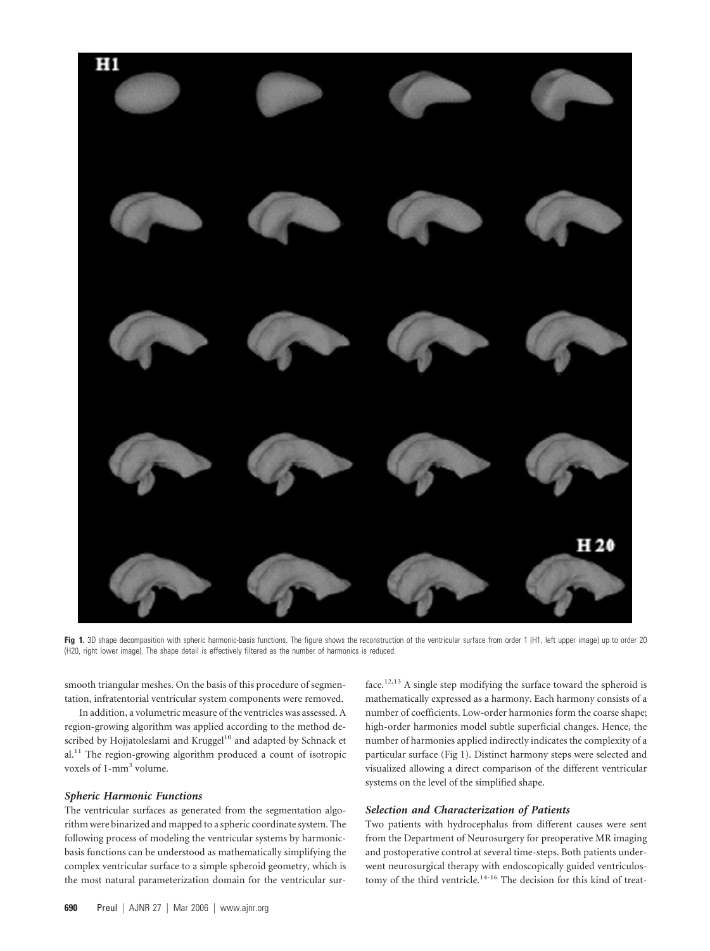

Fig 1. 3D shape decomposition with spheric harmonic-basis functions. The figure shows the reconstruction of the ventricular surface from order 1 (H1, left upper image) up to order 20 (H20, right lower image). The shape detail is effectively filtered as the number of harmonics is reduced.

smooth triangular meshes. On the basis of this procedure of segmentation, infratentorial ventricular system components were removed.

In addition, a volumetric measure of the ventricles was assessed. A region-growing algorithm was applied according to the method described by Hojjatoleslami and Kruggel<sup>10</sup> and adapted by Schnack et  $al.<sup>11</sup>$  The region-growing algorithm produced a count of isotropic voxels of 1-mm<sup>3</sup> volume.

## *Spheric Harmonic Functions*

The ventricular surfaces as generated from the segmentation algorithm were binarized and mapped to a spheric coordinate system. The following process of modeling the ventricular systems by harmonicbasis functions can be understood as mathematically simplifying the complex ventricular surface to a simple spheroid geometry, which is the most natural parameterization domain for the ventricular surface.<sup>12,13</sup> A single step modifying the surface toward the spheroid is mathematically expressed as a harmony. Each harmony consists of a number of coefficients. Low-order harmonies form the coarse shape; high-order harmonies model subtle superficial changes. Hence, the number of harmonies applied indirectly indicates the complexity of a particular surface (Fig 1). Distinct harmony steps were selected and visualized allowing a direct comparison of the different ventricular systems on the level of the simplified shape.

## *Selection and Characterization of Patients*

Two patients with hydrocephalus from different causes were sent from the Department of Neurosurgery for preoperative MR imaging and postoperative control at several time-steps. Both patients underwent neurosurgical therapy with endoscopically guided ventriculostomy of the third ventricle.14-16 The decision for this kind of treat-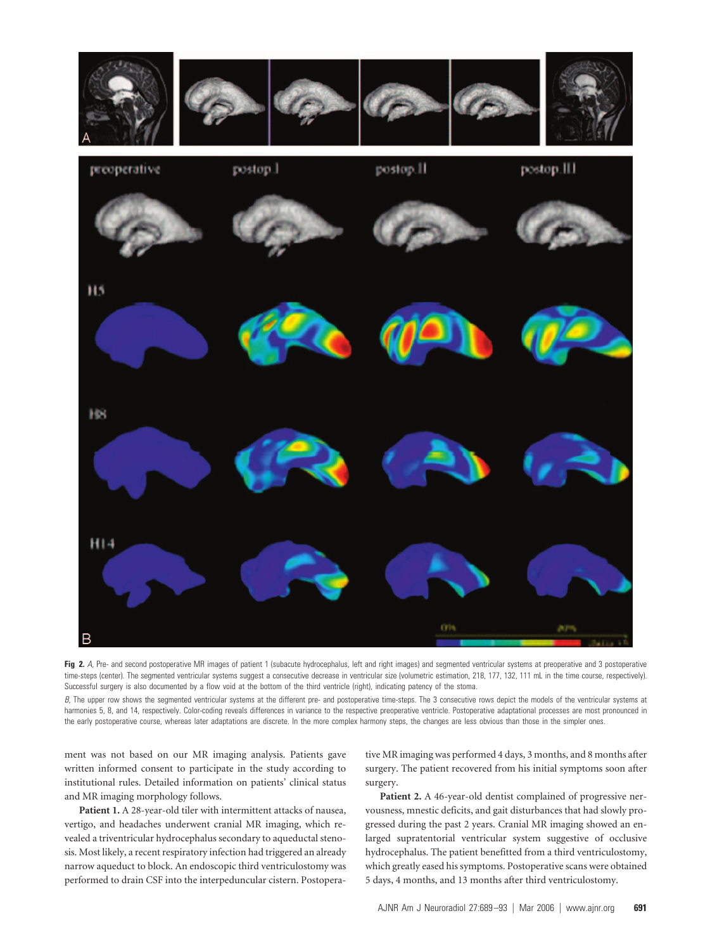

Fig 2. A, Pre- and second postoperative MR images of patient 1 (subacute hydrocephalus, left and right images) and segmented ventricular systems at preoperative and 3 postoperative time-steps (center). The segmented ventricular systems suggest a consecutive decrease in ventricular size (volumetric estimation, 218, 177, 132, 111 mL in the time course, respectively). Successful surgery is also documented by a flow void at the bottom of the third ventricle (right), indicating patency of the stoma.

*B*, The upper row shows the segmented ventricular systems at the different pre- and postoperative time-steps. The 3 consecutive rows depict the models of the ventricular systems at harmonies 5, 8, and 14, respectively. Color-coding reveals differences in variance to the respective preoperative ventricle. Postoperative adaptational processes are most pronounced in the early postoperative course, whereas later adaptations are discrete. In the more complex harmony steps, the changes are less obvious than those in the simpler ones.

ment was not based on our MR imaging analysis. Patients gave written informed consent to participate in the study according to institutional rules. Detailed information on patients' clinical status and MR imaging morphology follows.

**Patient 1.** A 28-year-old tiler with intermittent attacks of nausea, vertigo, and headaches underwent cranial MR imaging, which revealed a triventricular hydrocephalus secondary to aqueductal stenosis. Most likely, a recent respiratory infection had triggered an already narrow aqueduct to block. An endoscopic third ventriculostomy was performed to drain CSF into the interpeduncular cistern. Postoperative MR imaging was performed 4 days, 3 months, and 8 months after surgery. The patient recovered from his initial symptoms soon after surgery.

**Patient 2.** A 46-year-old dentist complained of progressive nervousness, mnestic deficits, and gait disturbances that had slowly progressed during the past 2 years. Cranial MR imaging showed an enlarged supratentorial ventricular system suggestive of occlusive hydrocephalus. The patient benefitted from a third ventriculostomy, which greatly eased his symptoms. Postoperative scans were obtained 5 days, 4 months, and 13 months after third ventriculostomy.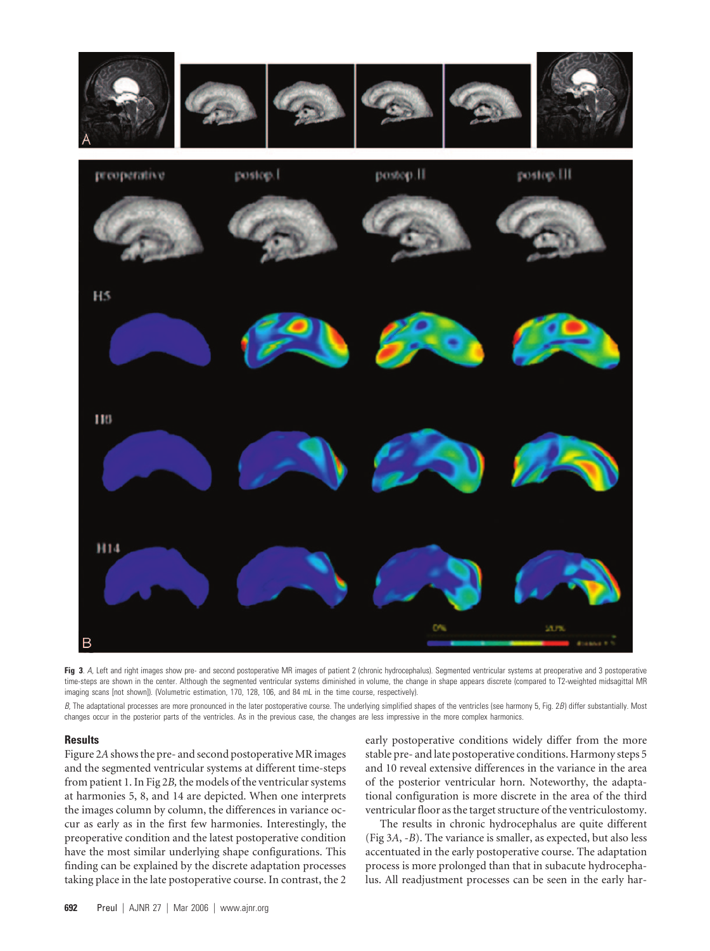

Fig 3. A, Left and right images show pre- and second postoperative MR images of patient 2 (chronic hydrocephalus). Segmented ventricular systems at preoperative and 3 postoperative time-steps are shown in the center. Although the segmented ventricular systems diminished in volume, the change in shape appears discrete (compared to T2-weighted midsagittal MR imaging scans [not shown]). (Volumetric estimation, 170, 128, 106, and 84 mL in the time course, respectively).

*B*, The adaptational processes are more pronounced in the later postoperative course. The underlying simplified shapes of the ventricles (see harmony 5, Fig. 2*B*) differ substantially. Most changes occur in the posterior parts of the ventricles. As in the previous case, the changes are less impressive in the more complex harmonics.

#### **Results**

Figure 2*A*shows the pre- and second postoperative MR images and the segmented ventricular systems at different time-steps from patient 1. In Fig 2*B,* the models of the ventricular systems at harmonies 5, 8, and 14 are depicted. When one interprets the images column by column, the differences in variance occur as early as in the first few harmonies. Interestingly, the preoperative condition and the latest postoperative condition have the most similar underlying shape configurations. This finding can be explained by the discrete adaptation processes taking place in the late postoperative course. In contrast, the 2 early postoperative conditions widely differ from the more stable pre- and late postoperative conditions. Harmony steps 5 and 10 reveal extensive differences in the variance in the area of the posterior ventricular horn. Noteworthy, the adaptational configuration is more discrete in the area of the third ventricular floor as the target structure of the ventriculostomy.

The results in chronic hydrocephalus are quite different (Fig 3*A*, -*B*). The variance is smaller, as expected, but also less accentuated in the early postoperative course. The adaptation process is more prolonged than that in subacute hydrocephalus. All readjustment processes can be seen in the early har